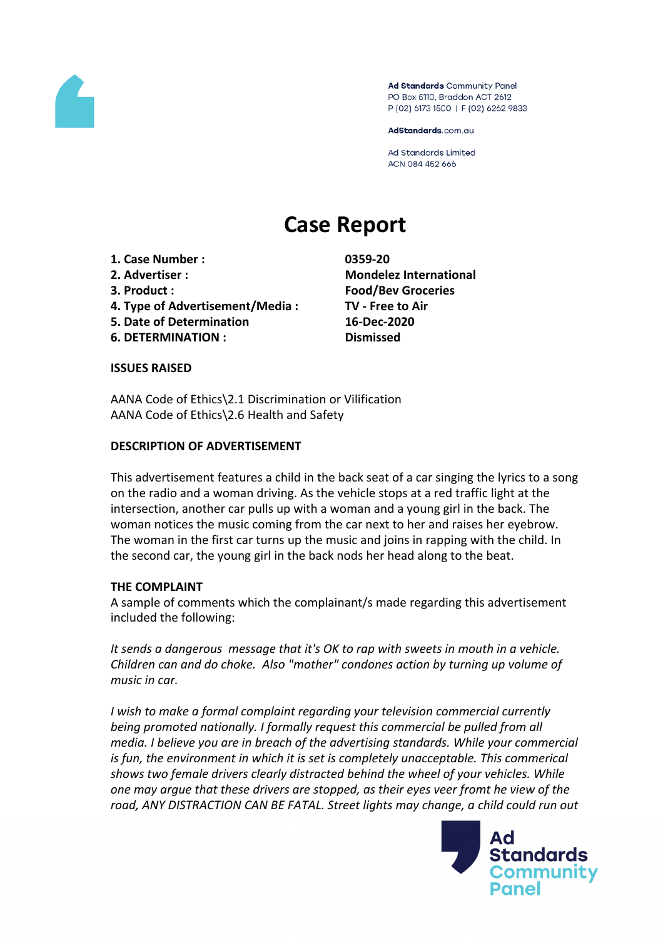

Ad Standards Community Panel PO Box 5110, Braddon ACT 2612 P (02) 6173 1500 | F (02) 6262 9833

AdStandards.com.au

**Ad Standards Limited** ACN 084 452 666

# **Case Report**

- **1. Case Number : 0359-20**
- 
- 
- **4. Type of Advertisement/Media : TV - Free to Air**
- **5. Date of Determination 16-Dec-2020**
- **6. DETERMINATION : Dismissed**

**2. Advertiser : Mondelez International 3. Product : Food/Bev Groceries**

# **ISSUES RAISED**

AANA Code of Ethics\2.1 Discrimination or Vilification AANA Code of Ethics\2.6 Health and Safety

# **DESCRIPTION OF ADVERTISEMENT**

This advertisement features a child in the back seat of a car singing the lyrics to a song on the radio and a woman driving. As the vehicle stops at a red traffic light at the intersection, another car pulls up with a woman and a young girl in the back. The woman notices the music coming from the car next to her and raises her eyebrow. The woman in the first car turns up the music and joins in rapping with the child. In the second car, the young girl in the back nods her head along to the beat.

# **THE COMPLAINT**

A sample of comments which the complainant/s made regarding this advertisement included the following:

*It sends a dangerous message that it's OK to rap with sweets in mouth in a vehicle. Children can and do choke. Also "mother" condones action by turning up volume of music in car.*

*I wish to make a formal complaint regarding your television commercial currently being promoted nationally. I formally request this commercial be pulled from all media. I believe you are in breach of the advertising standards. While your commercial is fun, the environment in which it is set is completely unacceptable. This commerical shows two female drivers clearly distracted behind the wheel of your vehicles. While one may argue that these drivers are stopped, as their eyes veer fromt he view of the road, ANY DISTRACTION CAN BE FATAL. Street lights may change, a child could run out*

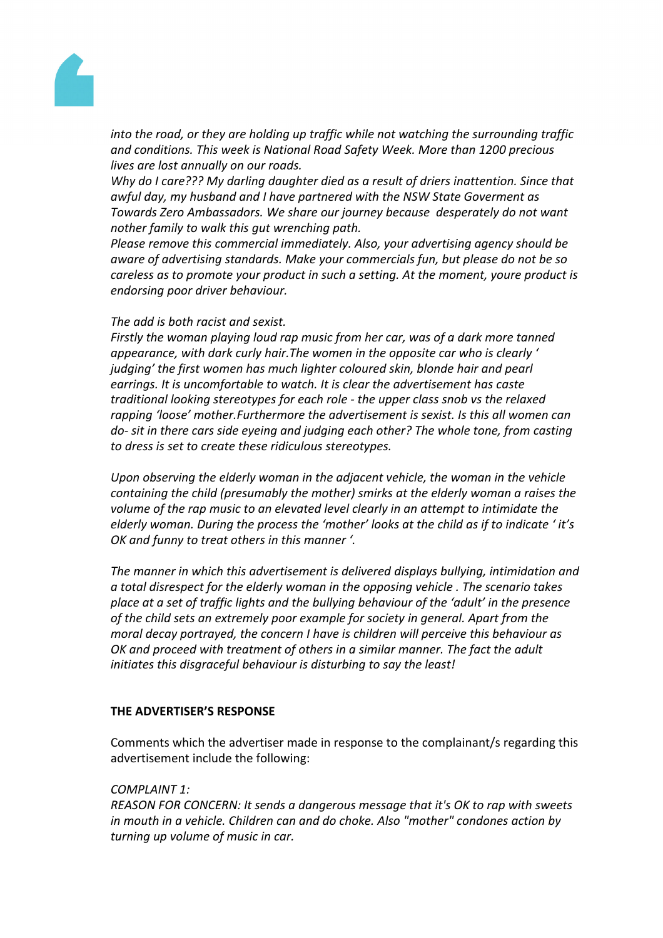

*into the road, or they are holding up traffic while not watching the surrounding traffic and conditions. This week is National Road Safety Week. More than 1200 precious lives are lost annually on our roads.*

*Why do I care??? My darling daughter died as a result of driers inattention. Since that awful day, my husband and I have partnered with the NSW State Goverment as Towards Zero Ambassadors. We share our journey because desperately do not want nother family to walk this gut wrenching path.*

*Please remove this commercial immediately. Also, your advertising agency should be aware of advertising standards. Make your commercials fun, but please do not be so careless as to promote your product in such a setting. At the moment, youre product is endorsing poor driver behaviour.*

# *The add is both racist and sexist.*

*Firstly the woman playing loud rap music from her car, was of a dark more tanned appearance, with dark curly hair.The women in the opposite car who is clearly ' judging' the first women has much lighter coloured skin, blonde hair and pearl earrings. It is uncomfortable to watch. It is clear the advertisement has caste traditional looking stereotypes for each role - the upper class snob vs the relaxed rapping 'loose' mother.Furthermore the advertisement is sexist. Is this all women can do- sit in there cars side eyeing and judging each other? The whole tone, from casting to dress is set to create these ridiculous stereotypes.*

*Upon observing the elderly woman in the adjacent vehicle, the woman in the vehicle containing the child (presumably the mother) smirks at the elderly woman a raises the volume of the rap music to an elevated level clearly in an attempt to intimidate the elderly woman. During the process the 'mother' looks at the child as if to indicate ' it's OK and funny to treat others in this manner '.*

*The manner in which this advertisement is delivered displays bullying, intimidation and a total disrespect for the elderly woman in the opposing vehicle . The scenario takes place at a set of traffic lights and the bullying behaviour of the 'adult' in the presence of the child sets an extremely poor example for society in general. Apart from the moral decay portrayed, the concern I have is children will perceive this behaviour as OK and proceed with treatment of others in a similar manner. The fact the adult initiates this disgraceful behaviour is disturbing to say the least!*

# **THE ADVERTISER'S RESPONSE**

Comments which the advertiser made in response to the complainant/s regarding this advertisement include the following:

# *COMPLAINT 1:*

*REASON FOR CONCERN: It sends a dangerous message that it's OK to rap with sweets in mouth in a vehicle. Children can and do choke. Also "mother" condones action by turning up volume of music in car.*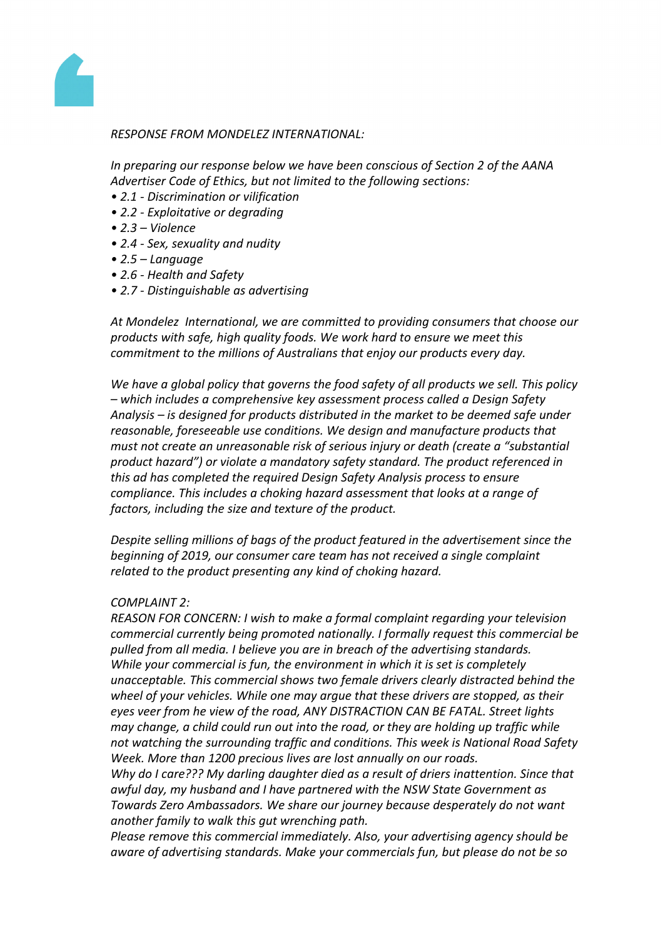

#### *RESPONSE FROM MONDELEZ INTERNATIONAL:*

*In preparing our response below we have been conscious of Section 2 of the AANA Advertiser Code of Ethics, but not limited to the following sections:*

- *• 2.1 - Discrimination or vilification*
- *• 2.2 - Exploitative or degrading*
- *• 2.3 – Violence*
- *• 2.4 - Sex, sexuality and nudity*
- *• 2.5 – Language*
- *• 2.6 - Health and Safety*
- *• 2.7 - Distinguishable as advertising*

*At Mondelez International, we are committed to providing consumers that choose our products with safe, high quality foods. We work hard to ensure we meet this commitment to the millions of Australians that enjoy our products every day.*

*We have a global policy that governs the food safety of all products we sell. This policy – which includes a comprehensive key assessment process called a Design Safety Analysis – is designed for products distributed in the market to be deemed safe under reasonable, foreseeable use conditions. We design and manufacture products that must not create an unreasonable risk of serious injury or death (create a "substantial product hazard") or violate a mandatory safety standard. The product referenced in this ad has completed the required Design Safety Analysis process to ensure compliance. This includes a choking hazard assessment that looks at a range of factors, including the size and texture of the product.*

*Despite selling millions of bags of the product featured in the advertisement since the beginning of 2019, our consumer care team has not received a single complaint related to the product presenting any kind of choking hazard.*

# *COMPLAINT 2:*

*REASON FOR CONCERN: I wish to make a formal complaint regarding your television commercial currently being promoted nationally. I formally request this commercial be pulled from all media. I believe you are in breach of the advertising standards. While your commercial is fun, the environment in which it is set is completely unacceptable. This commercial shows two female drivers clearly distracted behind the wheel of your vehicles. While one may argue that these drivers are stopped, as their eyes veer from he view of the road, ANY DISTRACTION CAN BE FATAL. Street lights may change, a child could run out into the road, or they are holding up traffic while not watching the surrounding traffic and conditions. This week is National Road Safety Week. More than 1200 precious lives are lost annually on our roads.*

*Why do I care??? My darling daughter died as a result of driers inattention. Since that awful day, my husband and I have partnered with the NSW State Government as Towards Zero Ambassadors. We share our journey because desperately do not want another family to walk this gut wrenching path.*

*Please remove this commercial immediately. Also, your advertising agency should be aware of advertising standards. Make your commercials fun, but please do not be so*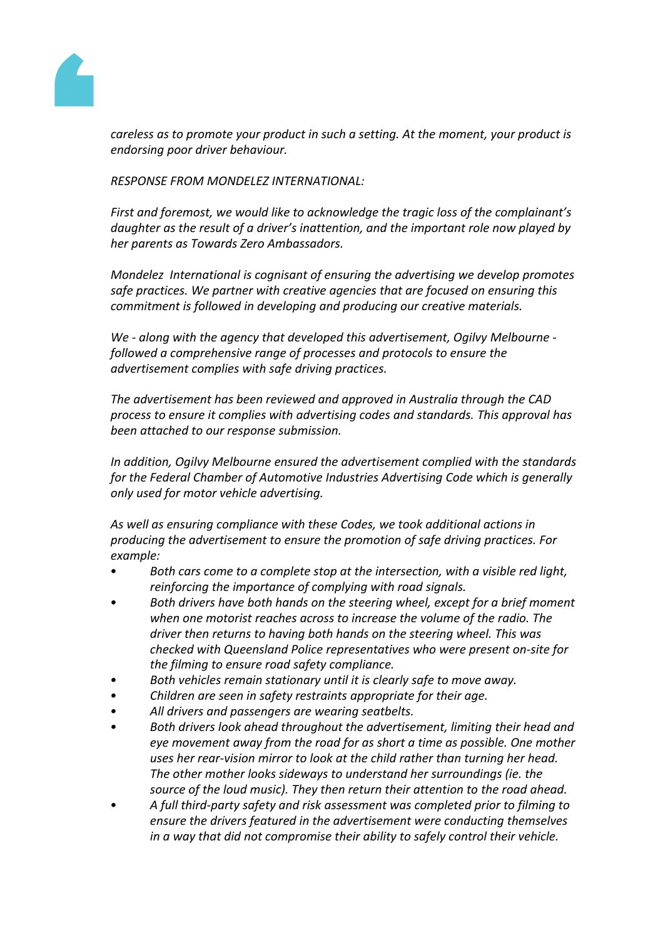

*careless as to promote your product in such a setting. At the moment, your product is endorsing poor driver behaviour.*

*RESPONSE FROM MONDELEZ INTERNATIONAL:*

*First and foremost, we would like to acknowledge the tragic loss of the complainant's daughter as the result of a driver's inattention, and the important role now played by her parents as Towards Zero Ambassadors.*

*Mondelez International is cognisant of ensuring the advertising we develop promotes safe practices. We partner with creative agencies that are focused on ensuring this commitment is followed in developing and producing our creative materials.*

*We - along with the agency that developed this advertisement, Ogilvy Melbourne followed a comprehensive range of processes and protocols to ensure the advertisement complies with safe driving practices.*

*The advertisement has been reviewed and approved in Australia through the CAD process to ensure it complies with advertising codes and standards. This approval has been attached to our response submission.*

*In addition, Ogilvy Melbourne ensured the advertisement complied with the standards for the Federal Chamber of Automotive Industries Advertising Code which is generally only used for motor vehicle advertising.*

*As well as ensuring compliance with these Codes, we took additional actions in producing the advertisement to ensure the promotion of safe driving practices. For example:*

- *• Both cars come to a complete stop at the intersection, with a visible red light, reinforcing the importance of complying with road signals.*
- *• Both drivers have both hands on the steering wheel, except for a brief moment when one motorist reaches across to increase the volume of the radio. The driver then returns to having both hands on the steering wheel. This was checked with Queensland Police representatives who were present on-site for the filming to ensure road safety compliance.*
- *• Both vehicles remain stationary until it is clearly safe to move away.*
- *• Children are seen in safety restraints appropriate for their age.*
- *• All drivers and passengers are wearing seatbelts.*
- *• Both drivers look ahead throughout the advertisement, limiting their head and eye movement away from the road for as short a time as possible. One mother uses her rear-vision mirror to look at the child rather than turning her head. The other mother looks sideways to understand her surroundings (ie. the source of the loud music). They then return their attention to the road ahead.*
- *• A full third-party safety and risk assessment was completed prior to filming to ensure the drivers featured in the advertisement were conducting themselves in a way that did not compromise their ability to safely control their vehicle.*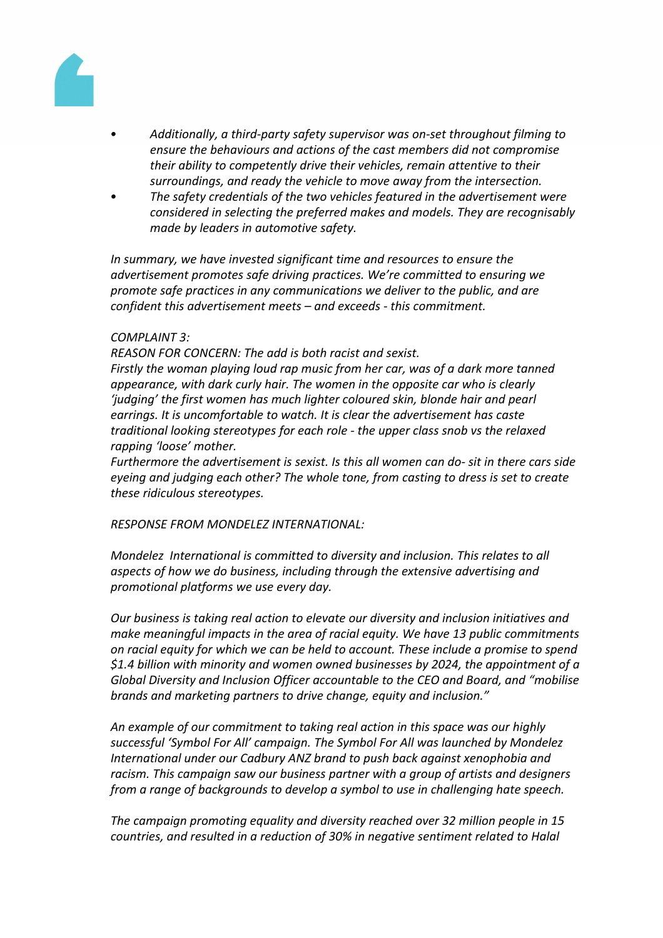

- *• Additionally, a third-party safety supervisor was on-set throughout filming to ensure the behaviours and actions of the cast members did not compromise their ability to competently drive their vehicles, remain attentive to their surroundings, and ready the vehicle to move away from the intersection.*
- *• The safety credentials of the two vehicles featured in the advertisement were considered in selecting the preferred makes and models. They are recognisably made by leaders in automotive safety.*

*In summary, we have invested significant time and resources to ensure the advertisement promotes safe driving practices. We're committed to ensuring we promote safe practices in any communications we deliver to the public, and are confident this advertisement meets – and exceeds - this commitment.* 

#### *COMPLAINT 3:*

*REASON FOR CONCERN: The add is both racist and sexist. Firstly the woman playing loud rap music from her car, was of a dark more tanned appearance, with dark curly hair. The women in the opposite car who is clearly 'judging' the first women has much lighter coloured skin, blonde hair and pearl earrings. It is uncomfortable to watch. It is clear the advertisement has caste traditional looking stereotypes for each role - the upper class snob vs the relaxed rapping 'loose' mother.*

*Furthermore the advertisement is sexist. Is this all women can do- sit in there cars side eyeing and judging each other? The whole tone, from casting to dress is set to create these ridiculous stereotypes.*

*RESPONSE FROM MONDELEZ INTERNATIONAL:*

*Mondelez International is committed to diversity and inclusion. This relates to all aspects of how we do business, including through the extensive advertising and promotional platforms we use every day.*

*Our business is taking real action to elevate our diversity and inclusion initiatives and make meaningful impacts in the area of racial equity. We have 13 public commitments on racial equity for which we can be held to account. These include a promise to spend \$1.4 billion with minority and women owned businesses by 2024, the appointment of a Global Diversity and Inclusion Officer accountable to the CEO and Board, and "mobilise brands and marketing partners to drive change, equity and inclusion."*

*An example of our commitment to taking real action in this space was our highly successful 'Symbol For All' campaign. The Symbol For All was launched by Mondelez International under our Cadbury ANZ brand to push back against xenophobia and racism. This campaign saw our business partner with a group of artists and designers from a range of backgrounds to develop a symbol to use in challenging hate speech.*

*The campaign promoting equality and diversity reached over 32 million people in 15 countries, and resulted in a reduction of 30% in negative sentiment related to Halal*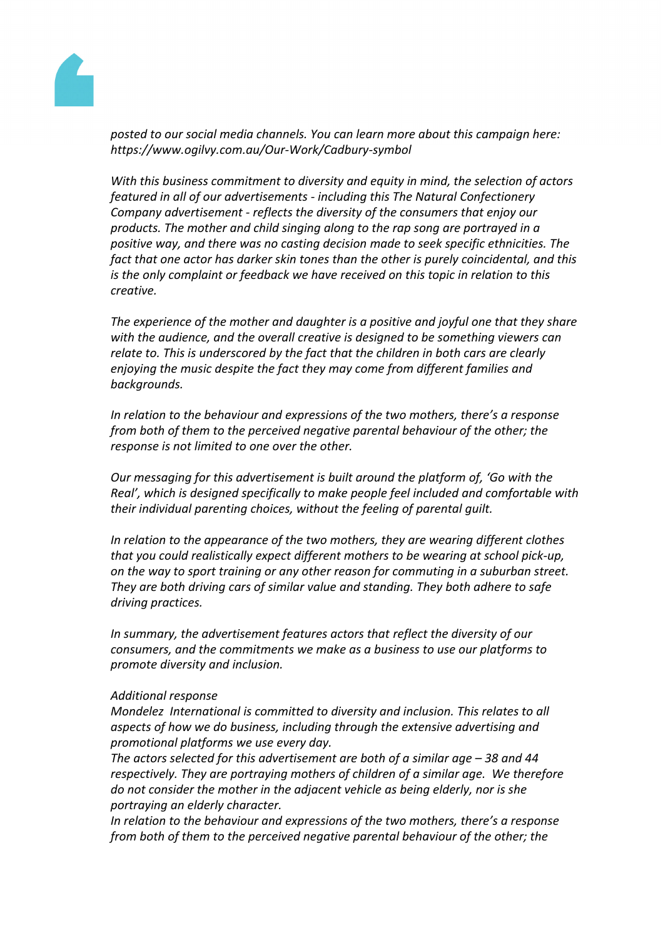

*posted to our social media channels. You can learn more about this campaign here: https://www.ogilvy.com.au/Our-Work/Cadbury-symbol* 

*With this business commitment to diversity and equity in mind, the selection of actors featured in all of our advertisements - including this The Natural Confectionery Company advertisement - reflects the diversity of the consumers that enjoy our products. The mother and child singing along to the rap song are portrayed in a positive way, and there was no casting decision made to seek specific ethnicities. The fact that one actor has darker skin tones than the other is purely coincidental, and this is the only complaint or feedback we have received on this topic in relation to this creative.*

*The experience of the mother and daughter is a positive and joyful one that they share with the audience, and the overall creative is designed to be something viewers can relate to. This is underscored by the fact that the children in both cars are clearly enjoying the music despite the fact they may come from different families and backgrounds.*

*In relation to the behaviour and expressions of the two mothers, there's a response from both of them to the perceived negative parental behaviour of the other; the response is not limited to one over the other.*

*Our messaging for this advertisement is built around the platform of, 'Go with the Real', which is designed specifically to make people feel included and comfortable with their individual parenting choices, without the feeling of parental guilt.*

*In relation to the appearance of the two mothers, they are wearing different clothes that you could realistically expect different mothers to be wearing at school pick-up, on the way to sport training or any other reason for commuting in a suburban street. They are both driving cars of similar value and standing. They both adhere to safe driving practices.*

*In summary, the advertisement features actors that reflect the diversity of our consumers, and the commitments we make as a business to use our platforms to promote diversity and inclusion.*

#### *Additional response*

*Mondelez International is committed to diversity and inclusion. This relates to all aspects of how we do business, including through the extensive advertising and promotional platforms we use every day.*

*The actors selected for this advertisement are both of a similar age – 38 and 44 respectively. They are portraying mothers of children of a similar age. We therefore do not consider the mother in the adjacent vehicle as being elderly, nor is she portraying an elderly character.* 

*In relation to the behaviour and expressions of the two mothers, there's a response from both of them to the perceived negative parental behaviour of the other; the*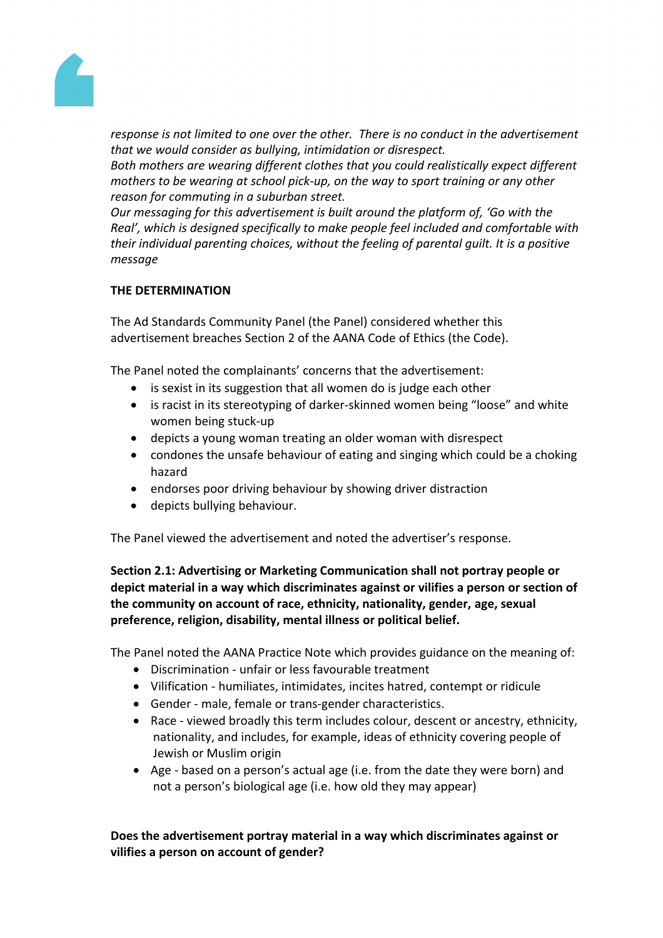

*response is not limited to one over the other. There is no conduct in the advertisement that we would consider as bullying, intimidation or disrespect.* 

*Both mothers are wearing different clothes that you could realistically expect different mothers to be wearing at school pick-up, on the way to sport training or any other reason for commuting in a suburban street.*

*Our messaging for this advertisement is built around the platform of, 'Go with the Real', which is designed specifically to make people feel included and comfortable with their individual parenting choices, without the feeling of parental guilt. It is a positive message*

# **THE DETERMINATION**

The Ad Standards Community Panel (the Panel) considered whether this advertisement breaches Section 2 of the AANA Code of Ethics (the Code).

The Panel noted the complainants' concerns that the advertisement:

- is sexist in its suggestion that all women do is judge each other
- is racist in its stereotyping of darker-skinned women being "loose" and white women being stuck-up
- depicts a young woman treating an older woman with disrespect
- condones the unsafe behaviour of eating and singing which could be a choking hazard
- endorses poor driving behaviour by showing driver distraction
- depicts bullying behaviour.

The Panel viewed the advertisement and noted the advertiser's response.

**Section 2.1: Advertising or Marketing Communication shall not portray people or depict material in a way which discriminates against or vilifies a person or section of the community on account of race, ethnicity, nationality, gender, age, sexual preference, religion, disability, mental illness or political belief.**

The Panel noted the AANA Practice Note which provides guidance on the meaning of:

- Discrimination unfair or less favourable treatment
- Vilification humiliates, intimidates, incites hatred, contempt or ridicule
- Gender male, female or trans-gender characteristics.
- Race viewed broadly this term includes colour, descent or ancestry, ethnicity, nationality, and includes, for example, ideas of ethnicity covering people of Jewish or Muslim origin
- Age based on a person's actual age (i.e. from the date they were born) and not a person's biological age (i.e. how old they may appear)

**Does the advertisement portray material in a way which discriminates against or vilifies a person on account of gender?**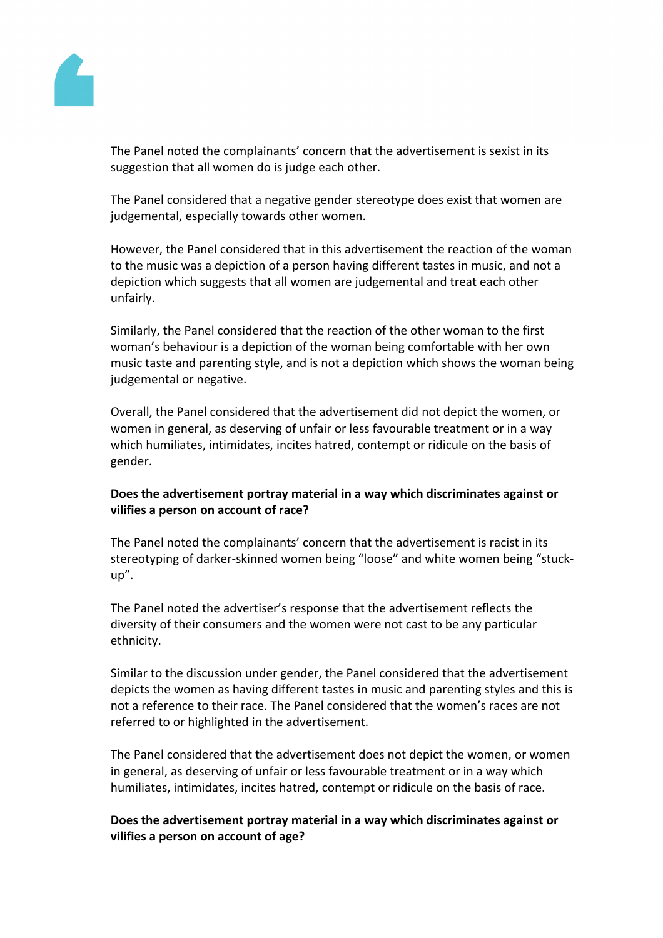

The Panel noted the complainants' concern that the advertisement is sexist in its suggestion that all women do is judge each other.

The Panel considered that a negative gender stereotype does exist that women are judgemental, especially towards other women.

However, the Panel considered that in this advertisement the reaction of the woman to the music was a depiction of a person having different tastes in music, and not a depiction which suggests that all women are judgemental and treat each other unfairly.

Similarly, the Panel considered that the reaction of the other woman to the first woman's behaviour is a depiction of the woman being comfortable with her own music taste and parenting style, and is not a depiction which shows the woman being judgemental or negative.

Overall, the Panel considered that the advertisement did not depict the women, or women in general, as deserving of unfair or less favourable treatment or in a way which humiliates, intimidates, incites hatred, contempt or ridicule on the basis of gender.

# **Does the advertisement portray material in a way which discriminates against or vilifies a person on account of race?**

The Panel noted the complainants' concern that the advertisement is racist in its stereotyping of darker-skinned women being "loose" and white women being "stuckup".

The Panel noted the advertiser's response that the advertisement reflects the diversity of their consumers and the women were not cast to be any particular ethnicity.

Similar to the discussion under gender, the Panel considered that the advertisement depicts the women as having different tastes in music and parenting styles and this is not a reference to their race. The Panel considered that the women's races are not referred to or highlighted in the advertisement.

The Panel considered that the advertisement does not depict the women, or women in general, as deserving of unfair or less favourable treatment or in a way which humiliates, intimidates, incites hatred, contempt or ridicule on the basis of race.

# **Does the advertisement portray material in a way which discriminates against or vilifies a person on account of age?**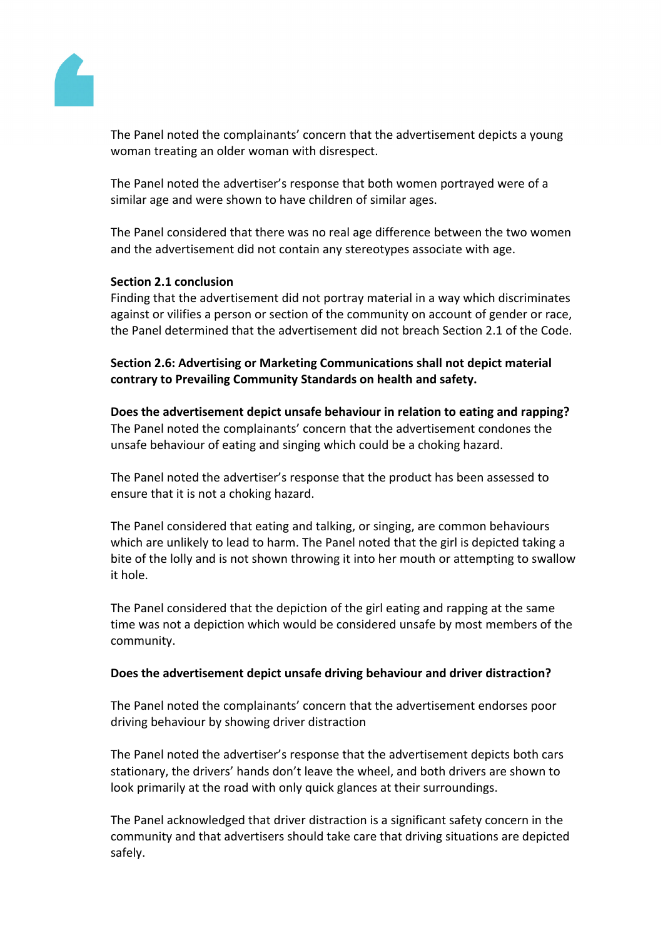

The Panel noted the complainants' concern that the advertisement depicts a young woman treating an older woman with disrespect.

The Panel noted the advertiser's response that both women portrayed were of a similar age and were shown to have children of similar ages.

The Panel considered that there was no real age difference between the two women and the advertisement did not contain any stereotypes associate with age.

# **Section 2.1 conclusion**

Finding that the advertisement did not portray material in a way which discriminates against or vilifies a person or section of the community on account of gender or race, the Panel determined that the advertisement did not breach Section 2.1 of the Code.

**Section 2.6: Advertising or Marketing Communications shall not depict material contrary to Prevailing Community Standards on health and safety.**

**Does the advertisement depict unsafe behaviour in relation to eating and rapping?** The Panel noted the complainants' concern that the advertisement condones the unsafe behaviour of eating and singing which could be a choking hazard.

The Panel noted the advertiser's response that the product has been assessed to ensure that it is not a choking hazard.

The Panel considered that eating and talking, or singing, are common behaviours which are unlikely to lead to harm. The Panel noted that the girl is depicted taking a bite of the lolly and is not shown throwing it into her mouth or attempting to swallow it hole.

The Panel considered that the depiction of the girl eating and rapping at the same time was not a depiction which would be considered unsafe by most members of the community.

# **Does the advertisement depict unsafe driving behaviour and driver distraction?**

The Panel noted the complainants' concern that the advertisement endorses poor driving behaviour by showing driver distraction

The Panel noted the advertiser's response that the advertisement depicts both cars stationary, the drivers' hands don't leave the wheel, and both drivers are shown to look primarily at the road with only quick glances at their surroundings.

The Panel acknowledged that driver distraction is a significant safety concern in the community and that advertisers should take care that driving situations are depicted safely.